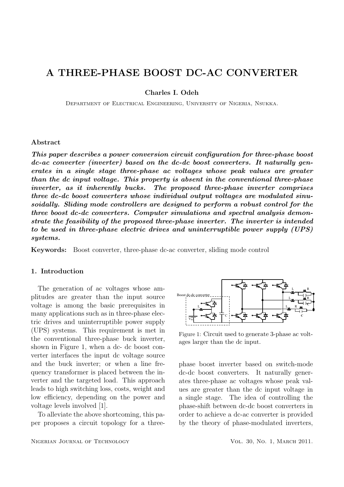# A THREE-PHASE BOOST DC-AC CONVERTER

Charles I. Odeh

Department of Electrical Engineering, University of Nigeria, Nsukka.

#### Abstract

This paper describes a power conversion circuit configuration for three-phase boost dc-ac converter (inverter) based on the dc-dc boost converters. It naturally generates in a single stage three-phase ac voltages whose peak values are greater than the dc input voltage. This property is absent in the conventional three-phase inverter, as it inherently bucks. The proposed three-phase inverter comprises three dc-dc boost converters whose individual output voltages are modulated sinusoidally. Sliding mode controllers are designed to perform a robust control for the three boost dc-dc converters. Computer simulations and spectral analysis demonstrate the feasibility of the proposed three-phase inverter. The inverter is intended to be used in three-phase electric drives and uninterruptible power supply (UPS) systems.

Keywords: Boost converter, three-phase dc-ac converter, sliding mode control

#### 1. Introduction

The generation of ac voltages whose amplitudes are greater than the input source voltage is among the basic prerequisites in many applications such as in three-phase electric drives and uninterruptible power supply (UPS) systems. This requirement is met in the conventional three-phase buck inverter, shown in Figure 1, when a dc- dc boost converter interfaces the input dc voltage source and the buck inverter; or when a line frequency transformer is placed between the inverter and the targeted load. This approach leads to high switching loss, costs, weight and low efficiency, depending on the power and voltage levels involved [1].

To alleviate the above shortcoming, this paper proposes a circuit topology for a threeBoost dc-dc con verter ▀▝▏▕▏▔▁▟▖▕▁▕▁▕▁▃▟▖▏▕▗▟▃▁▏▕▟▃▁▏▏▏  $L \qquad \qquad \mathbf{R}$  $\mathbb{R}$  $L_{\cdot\cdot}$   $\blacksquare$  R L ŗ  $V_{dc}$  $\mathbf{C}$ L

 Figure 1: Circuit used to generate 3-phase ac voltages larger than the dc input.

phase boost inverter based on switch-mode dc-dc boost converters. It naturally generates three-phase ac voltages whose peak values are greater than the dc input voltage in a single stage. The idea of controlling the phase-shift between dc-dc boost converters in order to achieve a dc-ac converter is provided by the theory of phase-modulated inverters,

ŕ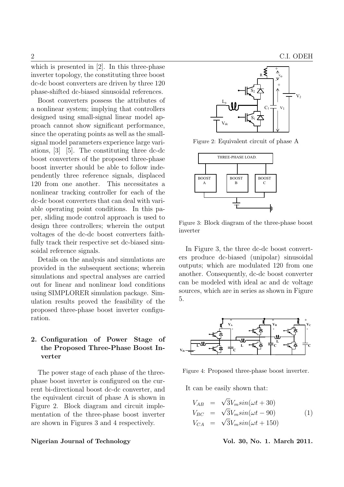which is presented in [2]. In this three-phase inverter topology, the constituting three boost dc-dc boost converters are driven by three 120 phase-shifted dc-biased sinusoidal references.

Boost converters possess the attributes of a nonlinear system; implying that controllers designed using small-signal linear model approach cannot show significant performance, since the operating points as well as the smallsignal model parameters experience large variations, [3] [5]. The constituting three dc-dc boost converters of the proposed three-phase boost inverter should be able to follow independently three reference signals, displaced  $\sqrt{\frac{B\text{OOST}}{B}}$ 120 from one another. This necessitates a nonlinear tracking controller for each of the dc-dc boost converters that can deal with variable operating point conditions. In this pa per, sliding mode control approach is used to design three controllers; wherein the output voltages of the dc-dc boost converters faithfully track their respective set dc-biased sinusoidal reference signals.

Details on the analysis and simulations are provided in the subsequent sections; wherein simulations and spectral analyses are carried out for linear and nonlinear load conditions using SIMPLORER simulation package. Simulation results proved the feasibility of the proposed three-phase boost inverter configuration.

## 2. Configuration of Power Stage of the Proposed Three-Phase Boost Inverter

The power stage of each phase of the threephase boost inverter is configured on the current bi-directional boost dc-dc converter, and the equivalent circuit of phase A is shown in Figure 2. Block diagram and circuit implementation of the three-phase boost inverter are shown in Figures 3 and 4 respectively.

#### Nigerian Journal of Technology Vol. 30, No. 1. March 2011.



Figure 2: Equivalent circuit of phase A



Figure 3: Block diagram of the three-phase boost inverter

- can be modeled with ideal ac and dc voltage In Figure 3, the three dc-dc boost converters produce dc-biased (unipolar) sinusoidal outputs; which are modulated 120 from one another. Consequently, dc-dc boost converter sources, which are in series as shown in Figure 5.



Figure 4: Proposed three-phase boost inverter.

It can be easily shown that:

$$
V_{AB} = \sqrt{3}V_m sin(\omega t + 30)
$$
  
\n
$$
V_{BC} = \sqrt{3}V_m sin(\omega t - 90)
$$
  
\n
$$
V_{CA} = \sqrt{3}V_m sin(\omega t + 150)
$$
\n(1)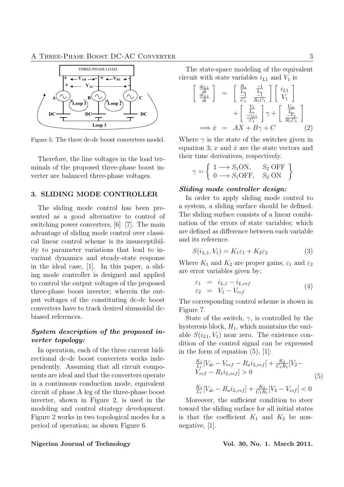

Figure 5: The three dc-dc boost converters model.

Therefore, the line voltages in the load terminals of the proposed three-phase boost inverter are balanced three-phase voltages.

## 3. SLIDING MODE CONTROLLER

The sliding mode control has been presented as a good alternative to control of switching power converters, [6] [7]. The main advantage of sliding mode control over classical linear control scheme is its insusceptibility to parameter variations that lead to invariant dynamics and steady-state response in the ideal case, [1]. In this paper, a sliding mode controller is designed and applied to control the output voltages of the proposed three-phase boost inverter; wherein the output voltages of the constituting dc-dc boost converters have to track desired sinusoidal dcbiased references.

## System description of the proposed inverter topology:

In operation, each of the three current bidirectional dc-dc boost converters works independently. Assuming that all circuit components are ideal and that the converters operate in a continuous conduction mode, equivalent circuit of phase A leg of the three-phase boost inverter, shown in Figure 2, is used in the modeling and control strategy development. Figure 2 works in two topological modes for a period of operation; as shown Figure 6.

The state-space modeling of the equivalent circuit with state variables  $i_{L1}$  and  $V_1$  is

$$
\begin{bmatrix}\n\frac{di_{L1}}{dt} \\
\frac{di_{L1}}{dt}\n\end{bmatrix} = \begin{bmatrix}\n\frac{R_a}{L_a} & \frac{-1}{L_a} \\
\frac{-1}{C_1} & \frac{-1}{R_1C_1}\n\end{bmatrix}\n\begin{bmatrix}\ni_{L1} \\
V_1\n\end{bmatrix} + \begin{bmatrix}\n\frac{V_1}{L_a} \\
\frac{-i_{L1}}{C_1}\n\end{bmatrix}\n\gamma + \begin{bmatrix}\n\frac{V_{dc}}{L_a} \\
\frac{-V_2}{R_1C_1}\n\end{bmatrix}
$$
\n
$$
\implies \dot{x} = AX + B\gamma + C
$$
\n(2)

Where  $\gamma$  is the state of the switches given in equation 3;  $x$  and  $\dot{x}$  are the state vectors and their time derivatives, respectively.

$$
\gamma = \left\{ \begin{array}{ll} 1 \longrightarrow S_1 \text{ON}, & S_2 \text{ OFF} \\ 0 \longrightarrow S_1 \text{OFF}, & S_2 \text{ ON} \end{array} \right\}
$$

#### Sliding mode controller design:

In order to apply sliding mode control to a system, a sliding surface should be defined. The sliding surface consists of a linear combination of the errors of state variables; which are defined as difference between each variable and its reference.

$$
S(i_{L,1}, V_1) = K_1 \varepsilon_1 + K_2 \varepsilon_2 \tag{3}
$$

Where  $K_1$  and  $K_2$  are proper gains;  $\varepsilon_1$  and  $\varepsilon_2$ are error variables given by:

$$
\begin{array}{rcl}\n\varepsilon_1 & = & i_{L,1} - i_{L,ref} \\
\varepsilon_2 & = & V_1 - V_{ref}\n\end{array}\n\tag{4}
$$

The corresponding control scheme is shown in Figure 7.

State of the switch,  $\gamma$ , is controlled by the hysteresis block,  $H_1$ , which maintains the variable  $S(i_{L1}, V_1)$  near zero. The existence condition of the control signal can be expressed in the form of equation  $(5)$ ,  $[1]$ :

$$
\frac{K_1}{L_1}[V_{dc} - V_{ref} - R_a i_{L,ref}] + \frac{K_2}{C_1 R_1}[V_2 - V_{ref} - R_1 i_{L,ref}] > 0
$$
\n
$$
(5)
$$
\n
$$
\frac{K_1}{V_1}[V_1 - R_i i_{L,ref}] + \frac{K_2}{C_1 C_1} [V_2 - V_1] < 0
$$

 $\frac{K_1}{L_1}[V_{dc} - R_a i_{L,ref}] + \frac{K_2}{C_1 R_1}[V_2 - V_{ref}] < 0$ Moreover, the sufficient condition to steer toward the sliding surface for all initial states is that the coefficient  $K_1$  and  $K_2$  be non-

negative, [1].

#### Nigerian Journal of Technology **Vol. 30, No. 1. March 2011**.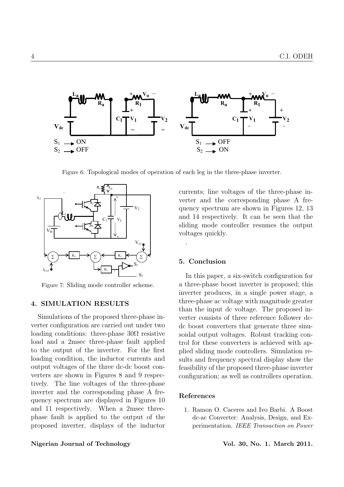

Figure 6: Topological modes of operation of each leg in the three-phase inverter.



Figure 7: Sliding mode controller scheme.

### 4. SIMULATION RESULTS

 loading condition, the inductor currents and Simulations of the proposed three-phase inverter configuration are carried out under two loading conditions: three-phase  $30\Omega$  resistive load and a 2msec three-phase fault applied to the output of the inverter. For the first output voltages of the three dc-dc boost converters are shown in Figures 8 and 9 respectively. The line voltages of the three-phase inverter and the corresponding phase A frequency spectrum are displayed in Figures 10 and 11 respectively. When a 2msec threephase fault is applied to the output of the proposed inverter, displays of the inductor

#### Nigerian Journal of Technology **Vol. 30, No. 1. March 2011**.

 quency spectrum are shown in Figures 12, 13 currents; line voltages of the three-phase inverter and the corresponding phase A freand 14 respectively. It can be seen that the sliding mode controller resumes the output voltages quickly.

#### 5. Conclusion

.

In this paper, a six-switch configuration for a three-phase boost inverter is proposed; this inverter produces, in a single power stage, a three-phase ac voltage with magnitude greater than the input dc voltage. The proposed inverter consists of three reference follower dcdc boost converters that generate three sinusoidal output voltages. Robust tracking control for these converters is achieved with applied sliding mode controllers. Simulation results and frequency spectral display show the feasibility of the proposed three-phase inverter configuration; as well as controllers operation.

#### References

1. Ramon O. Caceres and Ivo Barbi. A Boost dc-ac Converter: Analysis, Design, and Experimentation. IEEE Transaction on Power

**Service State State State State State**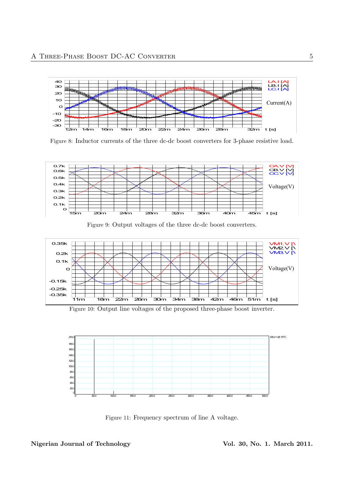

Figure 8: Inductor currents of the three dc-dc boost converters for 3-phase resistive load.



Figure 9: Output voltages of the three dc-dc boost converters.



Figure 10: Output line voltages of the proposed three-phase boost inverter.



Figure 11: Frequency spectrum of line A voltage.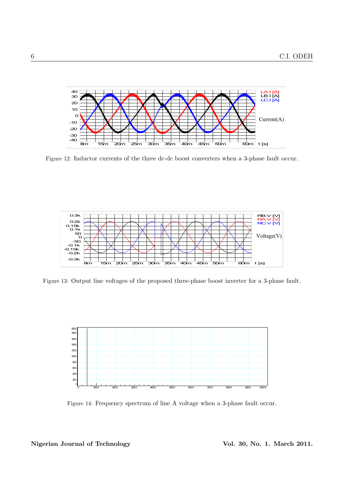

Figure 12: Inductor currents of the three dc-dc boost converters when a 3-phase fault occur.



Figure 13: Output line voltages of the proposed three-phase boost inverter for a 3-phase fault.



Figure 14: Frequency spectrum of line A voltage when a 3-phase fault occur.

### Nigerian Journal of Technology Vol. 30, No. 1. March 2011.